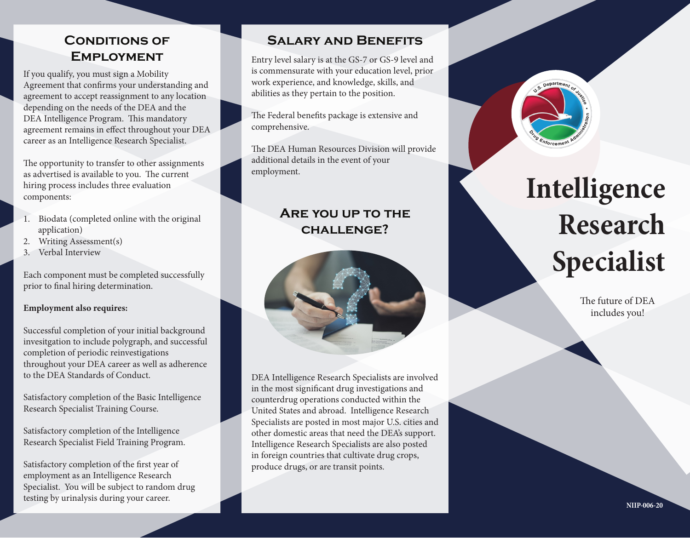## **Conditions of Employment**

If you qualify, you must sign a Mobility Agreement that confirms your understanding and agreement to accept reassignment to any location depending on the needs of the DEA and the DEA Intelligence Program. This mandatory agreement remains in effect throughout your DEA career as an Intelligence Research Specialist.

The opportunity to transfer to other assignments as advertised is available to you. The current hiring process includes three evaluation components:

- 1. Biodata (completed online with the original application)
- 2. Writing Assessment(s)
- 3. Verbal Interview

Each component must be completed successfully prior to final hiring determination.

#### **Employment also requires:**

Successful completion of your initial background invesitgation to include polygraph, and successful completion of periodic reinvestigations throughout your DEA career as well as adherence to the DEA Standards of Conduct.

Satisfactory completion of the Basic Intelligence Research Specialist Training Course.

Satisfactory completion of the Intelligence Research Specialist Field Training Program.

Satisfactory completion of the first year of employment as an Intelligence Research Specialist. You will be subject to random drug testing by urinalysis during your career.

### **Salary and Benefits**

Entry level salary is at the GS-7 or GS-9 level and is commensurate with your education level, prior work experience, and knowledge, skills, and abilities as they pertain to the position.

The Federal benefits package is extensive and comprehensive.

The DEA Human Resources Division will provide additional details in the event of your employment.

## **Are you up to the challenge?**



DEA Intelligence Research Specialists are involved in the most significant drug investigations and counterdrug operations conducted within the United States and abroad. Intelligence Research Specialists are posted in most major U.S. cities and other domestic areas that need the DEA's support. Intelligence Research Specialists are also posted in foreign countries that cultivate drug crops, produce drugs, or are transit points.

# **Intelligence Research Specialist**

pepartme<sub>n</sub>

The future of DEA includes you!